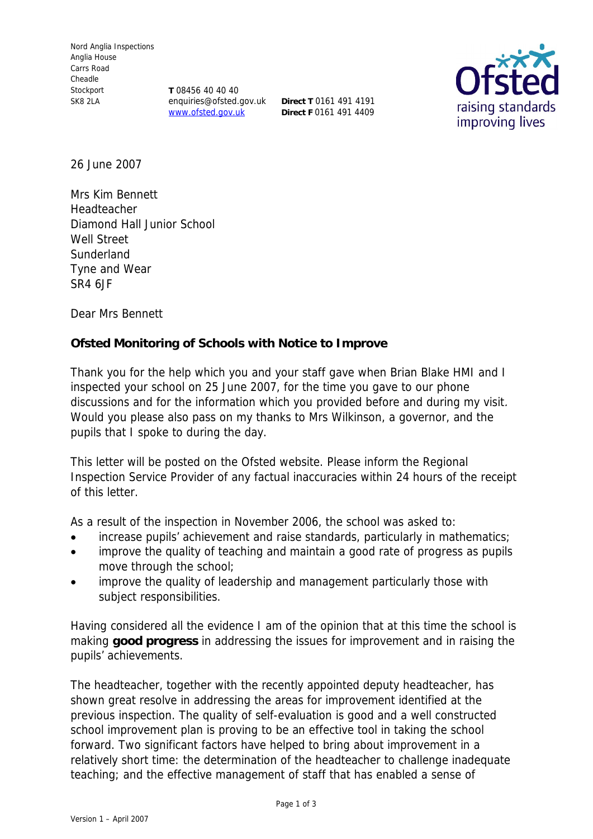**T** 08456 40 40 40 enquiries@ofsted.gov.uk **Direct T** 0161 491 4191 www.ofsted.gov.uk

**Direct F** 0161 491 4409



26 June 2007

Mrs Kim Bennett Headteacher Diamond Hall Junior School Well Street **Sunderland** Tyne and Wear SR4 6JF

Dear Mrs Bennett

**Ofsted Monitoring of Schools with Notice to Improve**

Thank you for the help which you and your staff gave when Brian Blake HMI and I inspected your school on 25 June 2007, for the time you gave to our phone discussions and for the information which you provided before and during my visit. Would you please also pass on my thanks to Mrs Wilkinson, a governor, and the pupils that I spoke to during the day.

This letter will be posted on the Ofsted website. Please inform the Regional Inspection Service Provider of any factual inaccuracies within 24 hours of the receipt of this letter.

As a result of the inspection in November 2006, the school was asked to:

- increase pupils' achievement and raise standards, particularly in mathematics;
- improve the quality of teaching and maintain a good rate of progress as pupils move through the school;
- improve the quality of leadership and management particularly those with subject responsibilities.

Having considered all the evidence I am of the opinion that at this time the school is making **good progress** in addressing the issues for improvement and in raising the pupils' achievements.

The headteacher, together with the recently appointed deputy headteacher, has shown great resolve in addressing the areas for improvement identified at the previous inspection. The quality of self-evaluation is good and a well constructed school improvement plan is proving to be an effective tool in taking the school forward. Two significant factors have helped to bring about improvement in a relatively short time: the determination of the headteacher to challenge inadequate teaching; and the effective management of staff that has enabled a sense of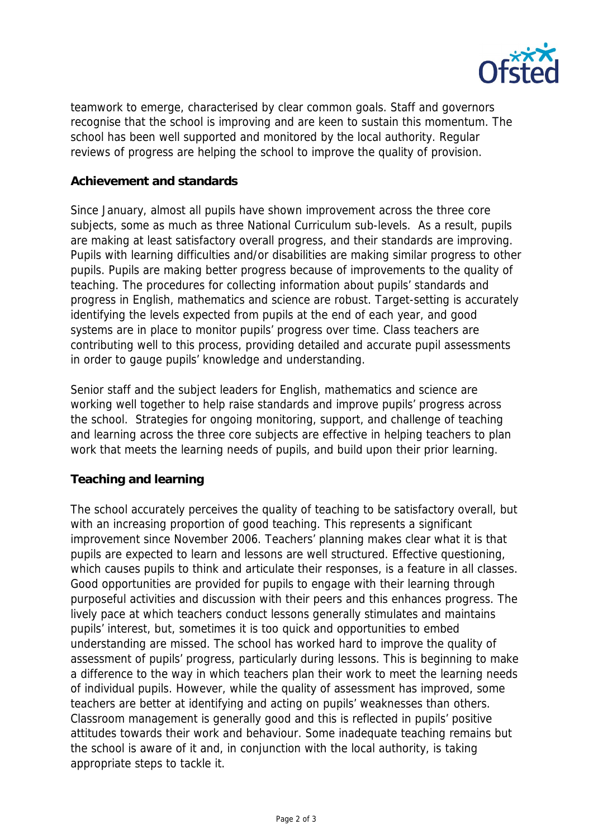

teamwork to emerge, characterised by clear common goals. Staff and governors recognise that the school is improving and are keen to sustain this momentum. The school has been well supported and monitored by the local authority. Regular reviews of progress are helping the school to improve the quality of provision.

## **Achievement and standards**

Since January, almost all pupils have shown improvement across the three core subjects, some as much as three National Curriculum sub-levels. As a result, pupils are making at least satisfactory overall progress, and their standards are improving. Pupils with learning difficulties and/or disabilities are making similar progress to other pupils. Pupils are making better progress because of improvements to the quality of teaching. The procedures for collecting information about pupils' standards and progress in English, mathematics and science are robust. Target-setting is accurately identifying the levels expected from pupils at the end of each year, and good systems are in place to monitor pupils' progress over time. Class teachers are contributing well to this process, providing detailed and accurate pupil assessments in order to gauge pupils' knowledge and understanding.

Senior staff and the subject leaders for English, mathematics and science are working well together to help raise standards and improve pupils' progress across the school. Strategies for ongoing monitoring, support, and challenge of teaching and learning across the three core subjects are effective in helping teachers to plan work that meets the learning needs of pupils, and build upon their prior learning.

## **Teaching and learning**

The school accurately perceives the quality of teaching to be satisfactory overall, but with an increasing proportion of good teaching. This represents a significant improvement since November 2006. Teachers' planning makes clear what it is that pupils are expected to learn and lessons are well structured. Effective questioning, which causes pupils to think and articulate their responses, is a feature in all classes. Good opportunities are provided for pupils to engage with their learning through purposeful activities and discussion with their peers and this enhances progress. The lively pace at which teachers conduct lessons generally stimulates and maintains pupils' interest, but, sometimes it is too quick and opportunities to embed understanding are missed. The school has worked hard to improve the quality of assessment of pupils' progress, particularly during lessons. This is beginning to make a difference to the way in which teachers plan their work to meet the learning needs of individual pupils. However, while the quality of assessment has improved, some teachers are better at identifying and acting on pupils' weaknesses than others. Classroom management is generally good and this is reflected in pupils' positive attitudes towards their work and behaviour. Some inadequate teaching remains but the school is aware of it and, in conjunction with the local authority, is taking appropriate steps to tackle it.